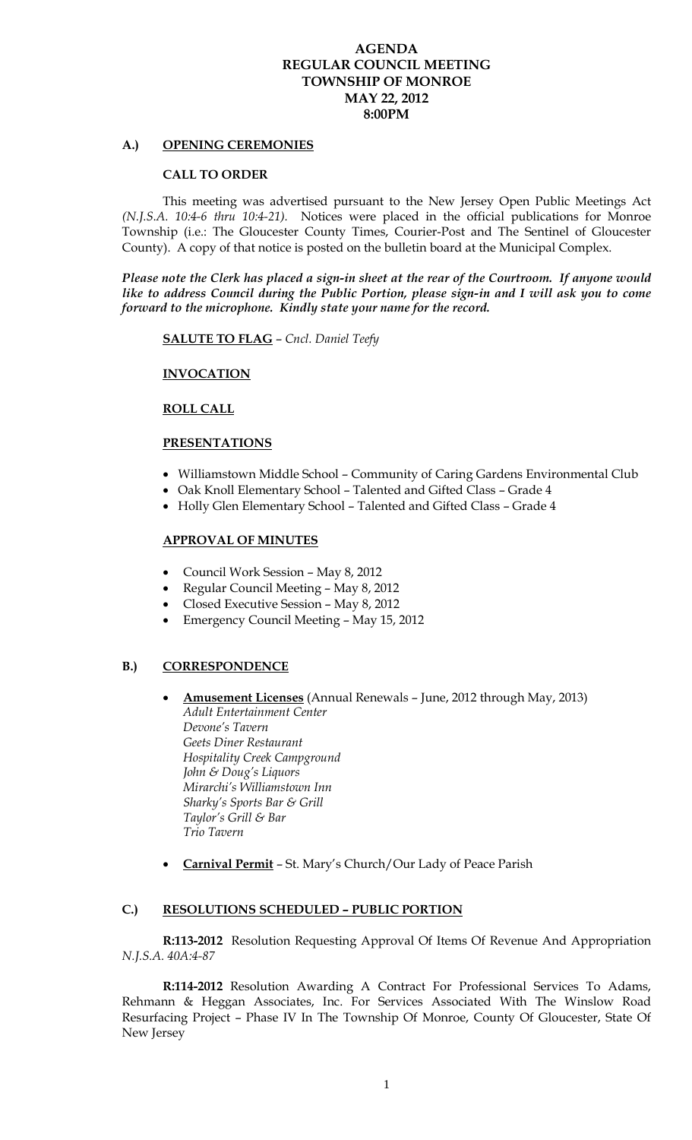## **AGENDA REGULAR COUNCIL MEETING TOWNSHIP OF MONROE MAY 22, 2012 8:00PM**

### **A.) OPENING CEREMONIES**

#### **CALL TO ORDER**

This meeting was advertised pursuant to the New Jersey Open Public Meetings Act *(N.J.S.A. 10:4-6 thru 10:4-21).* Notices were placed in the official publications for Monroe Township (i.e.: The Gloucester County Times, Courier-Post and The Sentinel of Gloucester County). A copy of that notice is posted on the bulletin board at the Municipal Complex.

*Please note the Clerk has placed a sign-in sheet at the rear of the Courtroom. If anyone would like to address Council during the Public Portion, please sign-in and I will ask you to come forward to the microphone. Kindly state your name for the record.* 

**SALUTE TO FLAG** – *Cncl. Daniel Teefy*

## **INVOCATION**

#### **ROLL CALL**

### **PRESENTATIONS**

- Williamstown Middle School Community of Caring Gardens Environmental Club
- Oak Knoll Elementary School Talented and Gifted Class Grade 4
- Holly Glen Elementary School Talented and Gifted Class Grade 4

### **APPROVAL OF MINUTES**

- Council Work Session May 8, 2012
- Regular Council Meeting May 8, 2012
- Closed Executive Session May 8, 2012
- Emergency Council Meeting May 15, 2012

# **B.) CORRESPONDENCE**

- **Amusement Licenses** (Annual Renewals June, 2012 through May, 2013) *Adult Entertainment Center Devone's Tavern Geets Diner Restaurant Hospitality Creek Campground John & Doug's Liquors Mirarchi's Williamstown Inn Sharky's Sports Bar & Grill Taylor's Grill & Bar Trio Tavern*
- **Carnival Permit** St. Mary's Church/Our Lady of Peace Parish

#### **C.) RESOLUTIONS SCHEDULED – PUBLIC PORTION**

**R:113-2012** Resolution Requesting Approval Of Items Of Revenue And Appropriation *N.J.S.A. 40A:4-87*

**R:114-2012** Resolution Awarding A Contract For Professional Services To Adams, Rehmann & Heggan Associates, Inc. For Services Associated With The Winslow Road Resurfacing Project – Phase IV In The Township Of Monroe, County Of Gloucester, State Of New Jersey